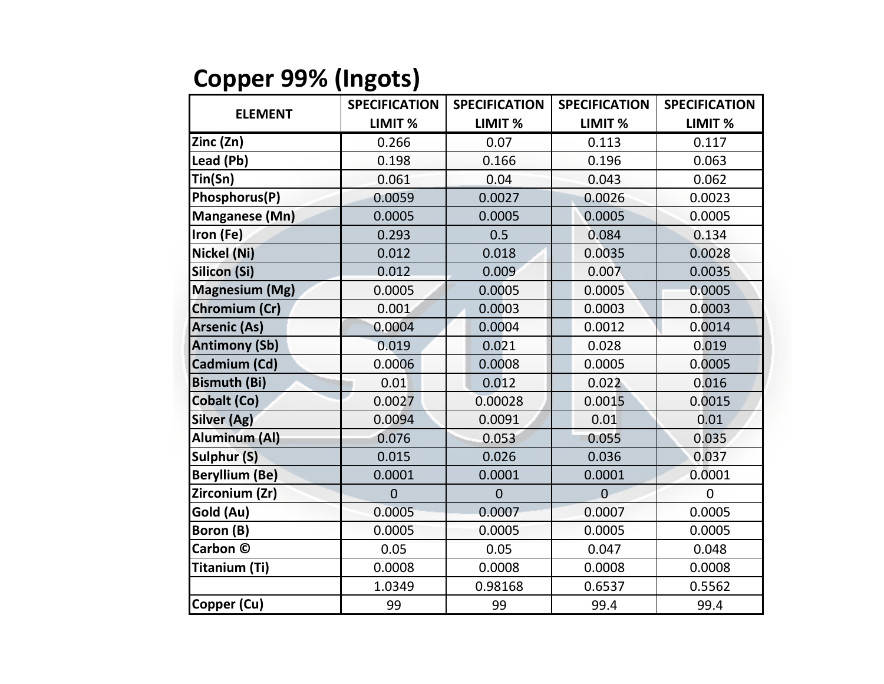## **Copper 99% (Ingots)**

| <b>ELEMENT</b>        | <b>SPECIFICATION</b> | <b>SPECIFICATION</b> | <b>SPECIFICATION</b> | <b>SPECIFICATION</b> |
|-----------------------|----------------------|----------------------|----------------------|----------------------|
|                       | LIMIT <sub>%</sub>   | LIMIT <sub>%</sub>   | LIMIT %              | LIMIT <sub>%</sub>   |
| Zinc (Zn)             | 0.266                | 0.07                 | 0.113                | 0.117                |
| Lead (Pb)             | 0.198                | 0.166                | 0.196                | 0.063                |
| Tin(Sn)               | 0.061                | 0.04                 | 0.043                | 0.062                |
| Phosphorus(P)         | 0.0059               | 0.0027               | 0.0026               | 0.0023               |
| <b>Manganese (Mn)</b> | 0.0005               | 0.0005               | 0.0005               | 0.0005               |
| Iron (Fe)             | 0.293                | 0.5                  | 0.084                | 0.134                |
| Nickel (Ni)           | 0.012                | 0.018                | 0.0035               | 0.0028               |
| Silicon (Si)          | 0.012                | 0.009                | 0.007                | 0.0035               |
| <b>Magnesium (Mg)</b> | 0.0005               | 0.0005               | 0.0005               | 0.0005               |
| Chromium (Cr)         | 0.001                | 0.0003               | 0.0003               | 0.0003               |
| <b>Arsenic (As)</b>   | 0.0004               | 0.0004               | 0.0012               | 0.0014               |
| <b>Antimony (Sb)</b>  | 0.019                | 0.021                | 0.028                | 0.019                |
| Cadmium (Cd)          | 0.0006               | 0.0008               | 0.0005               | 0.0005               |
| <b>Bismuth (Bi)</b>   | 0.01                 | 0.012                | 0.022                | 0.016                |
| Cobalt (Co)           | 0.0027               | 0.00028              | 0.0015               | 0.0015               |
| <b>Silver (Ag)</b>    | 0.0094               | 0.0091               | 0.01                 | 0.01                 |
| <b>Aluminum (AI)</b>  | 0.076                | 0.053                | 0.055                | 0.035                |
| <b>Sulphur (S)</b>    | 0.015                | 0.026                | 0.036                | 0.037                |
| <b>Beryllium (Be)</b> | 0.0001               | 0.0001               | 0.0001               | 0.0001               |
| Zirconium (Zr)        | $\overline{0}$       | $\overline{0}$       | $\overline{0}$       | $\Omega$             |
| Gold (Au)             | 0.0005               | 0.0007               | 0.0007               | 0.0005               |
| <b>Boron (B)</b>      | 0.0005               | 0.0005               | 0.0005               | 0.0005               |
| Carbon ©              | 0.05                 | 0.05                 | 0.047                | 0.048                |
| Titanium (Ti)         | 0.0008               | 0.0008               | 0.0008               | 0.0008               |
|                       | 1.0349               | 0.98168              | 0.6537               | 0.5562               |
| Copper (Cu)           | 99                   | 99                   | 99.4                 | 99.4                 |